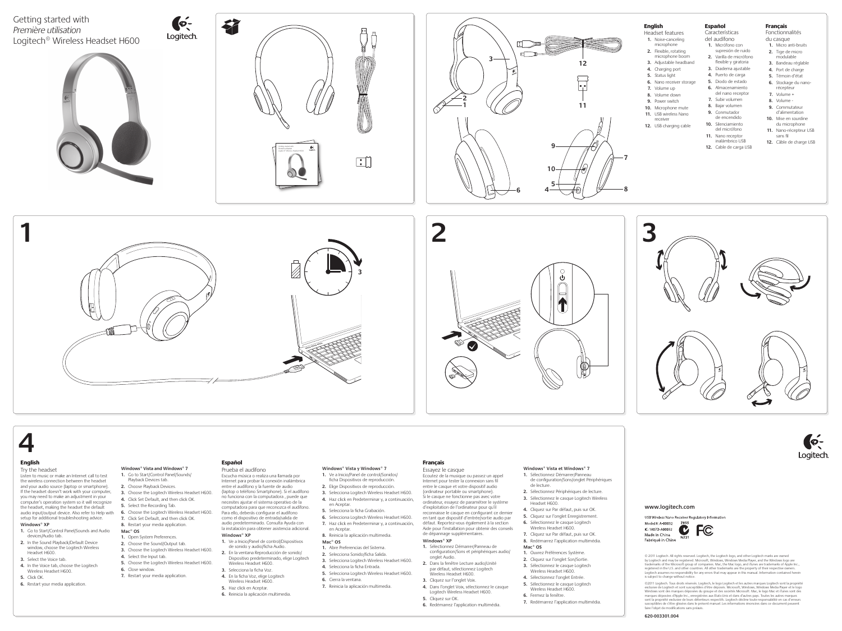

#### English

#### Try the headset

- **1.** Go to Start/Control Panel/Sounds and Audio devices/Audio tab.
- **2.** In the Sound Playback/Default Device window, choose the Logitech Wireless Headset H600.
- **3.** Select the Voice tab.
- **4.** In the Voice tab, choose the Logitech Wireless Headset H600.
- **5.** Click OK.
- **6.** Restart your media application.

Listen to music or make an Internet call to test the wireless connection between the headset and your audio source (laptop or smartphone). If the headset doesn't work with your computer, you may need to make an adjustment in your computer's operation system so it will recognize the headset, making the headset the default audio input/output device. Also refer to Help with **6.** Choose the Logitech Wireless Headset H600. setup for additional troubleshooting advice. **Windows® XP**

#### **Windows® Vista and Windows® 7**

- **1.** Go to Start/Control Panel/Sounds/ Playback Devices tab.
- **2.** Choose Playback Devices.
- **3.** Choose the Logitech Wireless Headset H600.
- **4.** Click Set Default, and then click OK.
- **5.** Select the Recording Tab.
- 
- **7.** Click Set Default, and then click OK.
- **8.** Restart your media application.

#### **Mac® OS**

- **1.** Open System Preferences.
- **2.** Choose the Sound/Output tab.
- **3.** Choose the Logitech Wireless Headset H600. **4.** Select the Input tab.
- **5.** Choose the Logitech Wireless Headset H600.
- **6.** Close window.
- **7.** Restart your media application.

### Español

Prueba el audífono Escucha música o realiza una llamada por Internet para probar la conexión inalámbrica entre el audífono y la fuente de audio (laptop o teléfono Smartphone). Si el audífono no funciona con la computadora , puede que necesites ajustar el sistema operativo de la computadora para que reconozca el audífono. Para ello, deberás configurar el audífono como el dispositivo de entrada/salida de audio predeterminado. Consulta Ayuda con la instalación para obtener asistencia adicional. **Windows® XP**

- **1.** Ve a Inicio/Panel de control/Dispositivos de sonido y audio/ficha Audio.
- **2.** En la ventana Reproducción de sonido/ Dispositivo predeterminado, elige Logitech Wireless Headset H600.
- **3.** Selecciona la ficha Voz.
- **4.** En la ficha Voz, elige Logitech Wireless Headset H600.
- 
- **5.** Haz click en Aceptar. **6.** Reinicia la aplicación multimedia.

#### **Windows® Vista y Windows® 7 1.** Ve a Inicio/Panel de control/Sonidos/

- ficha Dispositivos de reproducción.
- **2.** Elige Dispositivos de reproducción.
- **3.** Selecciona Logitech Wireless Headset H600. **4.** Haz click en Predeterminar y, a continuación,
- en Acepta
- **5.** Selecciona la ficha Grabación. **6.** Selecciona Logitech Wireless Headset H600.
- **7.** Haz click en Predeterminar y, a continuación, en Aceptar.
- **8.** Reinicia la aplicación multimedia. **Mac® OS**
- **1.** Abre Preferencias del Sistema.
- **2.** Selecciona Sonido/ficha Salida.
- **3.** Selecciona Logitech Wireless Headset H600. **4.** Selecciona la ficha Entrada.
- **5.** Selecciona Logitech Wireless Headset H600.
- **6.** Cierra la ventana.
- **7.** Reinicia la aplicación multimedia.

### Français

Essayez le casque Ecoutez de la musique ou passez un appel Internet pour tester la connexion sans fil entre le casque et votre dispositif audio (ordinateur portable ou smartphone). Si le casque ne fonctionne pas avec votre ordinateur, essayez de paramétrer le système d'exploitation de l'ordinateur pour qu'il reconnaisse le casque en configurant ce dernier en tant que dispositif d'entrée/sortie audio par défaut. Reportez-vous également à la section Aide pour l'installation pour obtenir des conseils de dépannage supplémentaires.

#### **Windows® XP**

©2011 Logitech. Tous droits réservés. Logitech, le logo Logitech et les autres marques Logitech sont la propriété<br>exclusive de Logitech et sont susceptibles d'être déposés. Microsoft, Windows, Windows Media Player et le lo Windows sont des marques déposées du groupe et des sociétés Microsoft. Mac, le logo Mac et iTunes sont des<br>marques déposées d'Apple Inc., enregistrées aux Etats-Unis et dans d'autres pays. Toutes les autres marques<br>sont la susceptibles de s'être glissées dans le présent manuel. Les informations énoncées dans ce document peuvent faire l'objet de modifications sans préavis.

- **1.** Sélectionnez Démarrer/Panneau de configuration/Sons et périphériques audio/ onglet Audio. **2.** Dans la fenêtre Lecture audio/Unité par défaut, sélectionnez Logitech
- Wireless Headset H600. **3.** Cliquez sur l'onglet Voix.
- **4.** Dans l'onglet Voix, sélectionnez le casque Logitech Wireless Headset H600.
- **5.** Cliquez sur OK.
- **6.** Redémarrez l'application multimédia.



**Windows® Vista et Windows® 7**

#### **1.** Sélectionnez Démarrer/Panneau

- de configuration/Sons/onglet Périphériques de lecture.
- **2.** Sélectionnez Périphériques de lecture. **3.** Sélectionnez le casque Logitech Wireless
- Headset H600.
- **4.** Cliquez sur Par défaut, puis sur OK.
- **5.** Cliquez sur l'onglet Enregistrement.
- **6.** Sélectionnez le casque Logitech
- Wireless Headset H600.
- **7.** Cliquez sur Par défaut, puis sur OK.
- **8.** Redémarrez l'application multimédia. **Mac® OS**
- **1.** Ouvrez Préférences Système.
- **2.** Cliquez sur l'onglet Son/Sortie.
- **3.** Sélectionnez le casque Logitech
- Wireless Headset H600.
- **4.** Sélectionnez l'onglet Entrée.
- **5.** Sélectionnez le casque Logitech
- Wireless Headset H600.
- **6.** Fermez la fenêtre.
- **7.** Redémarrez l'application multimédia.



#### English

- Headset features **1.** Noise-canceling microphone
- **2.** Flexible, rotating microphone boom
- **3.** Adjustable headband **4.** Charging port
- **5.** Status light
- **6.** Nano receiver storage
- **7.** Volume up **8.** Volume down
- **9.** Power switch
- **10.** Microphone mute
- **11.** USB wireless Nano
- receiver **12.** USB charging cable

#### Español

Características del audífono

- **1.** Micrófono con supresión de ruido
- **2.** Varilla de micrófono flexible y giratoria
- **3.** Diadema ajustable
- **4.** Puerto de carga **5.** Diodo de estado
- **6.** Almacenamiento
- del nano receptor
- **7.** Subir volumen **8.** Bajar volumen
- **9.** Conmutador
- de encendido **10.** Silenciamiento
- del micrófono
- **11.** Nano receptor inalámbrico USB
- **12.** Cable de carga USB

#### Français

### Fonctionnalités

du casque **1.** Micro anti-bruits

- **2.** Tige de micro modulable
- **3.** Bandeau réglable
- **4.** Port de charge
- **5.** Témoin d'état
- **6.** Stockage du nanorécepteur **7.** Volume +
- **8.** Volume -
- **9.** Commutateur d'alimentation
- **10.** Mise en sourdine du microphone
- **11.** Nano-récepteur USB sans fil
- **12.** Câble de charge USB





#### **www.logitech.com**

USB Wireless Nano Receiver Regulatory Information

IC: 1807D-A00032 Made in China



© 2011 Logitech. All rights reserved. Logitech, the Logitech logo, and other Logitech marks are owned by Logitech and may be registered. Microsoft, Windows, Windows Media Player, and the Windows logo are trademarks of the Microsoft group of companies. Mac, the Mac logo, and iTunes are trademarks of Apple Inc., registered in the U.S. and other countries. All other trademarks are the property of their respective owners. Logitech assumes no responsibility for any errors that may appear in this manual. Information contained herein is subject to change without notice.

#### **620-003301.004**

# 

Fabriqué in Chine